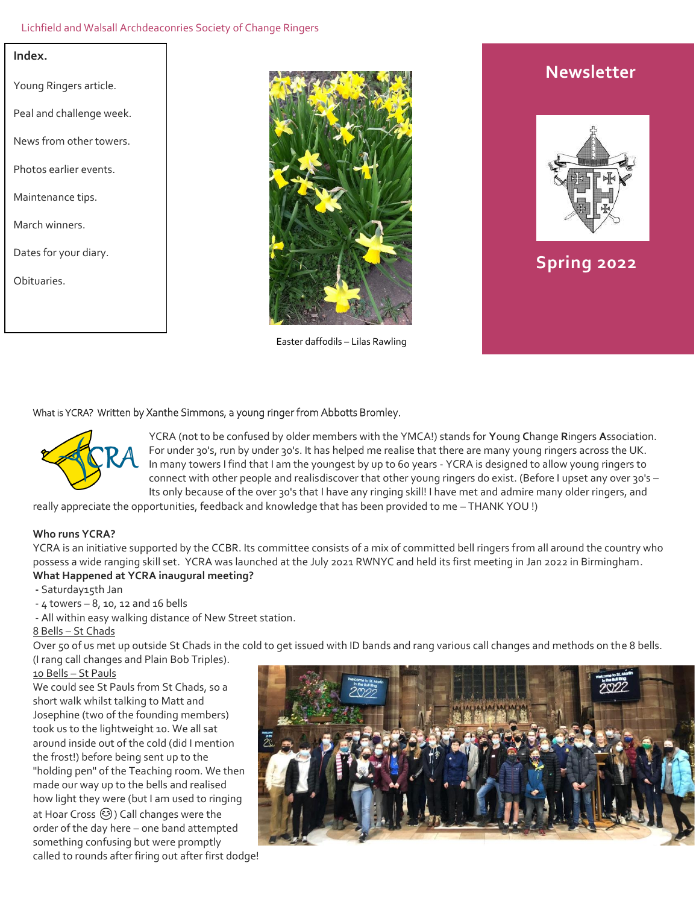### Lichfield and Walsall Archdeaconries Society of Change Ringers

### **Index.**

Young Ringers article. Peal and challenge week. News from other towers. Photos earlier events. Maintenance tips. March winners. Dates for your diary. Obituaries.



Easter daffodils – Lilas Rawling

# **Newsletter**



# **Spring 2022**

### What is YCRA? Written by Xanthe Simmons, a young ringer from Abbotts Bromley.



YCRA (not to be confused by older members with the YMCA!) stands for **Y**oung **C**hange **R**ingers **A**ssociation. For under 30's, run by under 30's. It has helped me realise that there are many young ringers across the UK. In many towers I find that I am the youngest by up to 60 years - YCRA is designed to allow young ringers to connect with other people and realisdiscover that other young ringers do exist. (Before I upset any over 30's – Its only because of the over 30's that I have any ringing skill! I have met and admire many older ringers, and

really appreciate the opportunities, feedback and knowledge that has been provided to me – THANK YOU !)

### **Who runs YCRA?**

YCRA is an initiative supported by the CCBR. Its committee consists of a mix of committed bell ringers from all around the country who possess a wide ranging skill set. YCRA was launched at the July 2021 RWNYC and held its first meeting in Jan 2022 in Birmingham. **What Happened at YCRA inaugural meeting?**

**-** Saturday15th Jan

 $-4$  towers  $-8$ , 10, 12 and 16 bells

- All within easy walking distance of New Street station.

8 Bells – St Chads

Over 50 of us met up outside St Chads in the cold to get issued with ID bands and rang various call changes and methods on the 8 bells. (I rang call changes and Plain Bob Triples).

10 Bells – St Pauls

We could see St Pauls from St Chads, so a short walk whilst talking to Matt and Josephine (two of the founding members) took us to the lightweight 10. We all sat around inside out of the cold (did I mention the frost!) before being sent up to the "holding pen" of the Teaching room. We then made our way up to the bells and realised how light they were (but I am used to ringing at Hoar Cross (3) Call changes were the order of the day here – one band attempted something confusing but were promptly called to rounds after firing out after first dodge!

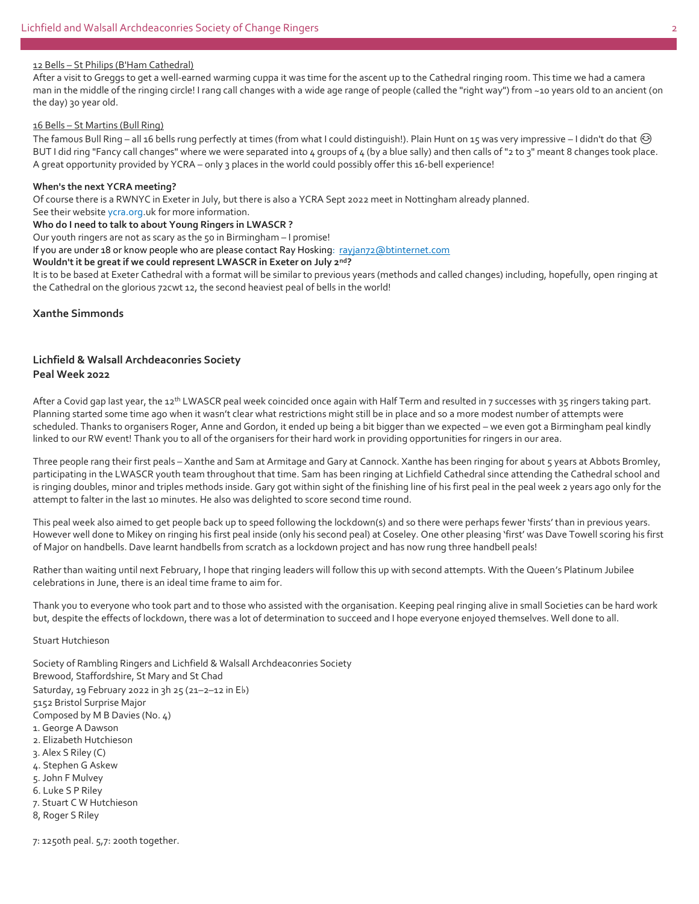#### 12 Bells – St Philips (B'Ham Cathedral)

After a visit to Greggs to get a well-earned warming cuppa it was time for the ascent up to the Cathedral ringing room. This time we had a camera man in the middle of the ringing circle! I rang call changes with a wide age range of people (called the "right way") from ~10 years old to an ancient (on the day) 30 year old.

### 16 Bells – St Martins (Bull Ring)

The famous Bull Ring – all 16 bells rung perfectly at times (from what I could distinguish!). Plain Hunt on 15 was very impressive – I didn't do that  $\odot$ BUT I did ring "Fancy call changes" where we were separated into 4 groups of 4 (by a blue sally) and then calls of "2 to 3" meant 8 changes took place. A great opportunity provided by YCRA – only 3 places in the world could possibly offer this 16-bell experience!

#### **When's the next YCRA meeting?**

Of course there is a RWNYC in Exeter in July, but there is also a YCRA Sept 2022 meet in Nottingham already planned.

# See their website ycra.org.uk for more information.

**Who do I need to talk to about Young Ringers in LWASCR ?**

Our youth ringers are not as scary as the 50 in Birmingham – I promise!

If you are under 18 or know people who are please contact Ray Hosking: ravian72@btinternet.com

### **Wouldn't it be great if we could represent LWASCR in Exeter on July 2nd?**

It is to be based at Exeter Cathedral with a format will be similar to previous years (methods and called changes) including, hopefully, open ringing at the Cathedral on the glorious 72cwt 12, the second heaviest peal of bells in the world!

### **Xanthe Simmonds**

### **Lichfield & Walsall Archdeaconries Society Peal Week 2022**

After a Covid gap last year, the 12<sup>th</sup> LWASCR peal week coincided once again with Half Term and resulted in 7 successes with 35 ringers taking part. Planning started some time ago when it wasn't clear what restrictions might still be in place and so a more modest number of attempts were scheduled. Thanks to organisers Roger, Anne and Gordon, it ended up being a bit bigger than we expected – we even got a Birmingham peal kindly linked to our RW event! Thank you to all of the organisers for their hard work in providing opportunities for ringers in our area.

Three people rang their first peals – Xanthe and Sam at Armitage and Gary at Cannock. Xanthe has been ringing for about 5 years at Abbots Bromley, participating in the LWASCR youth team throughout that time. Sam has been ringing at Lichfield Cathedral since attending the Cathedral school and is ringing doubles, minor and triples methods inside. Gary got within sight of the finishing line of his first peal in the peal week 2 years ago only for the attempt to falter in the last 10 minutes. He also was delighted to score second time round.

This peal week also aimed to get people back up to speed following the lockdown(s) and so there were perhaps fewer 'firsts' than in previous years. However well done to Mikey on ringing his first peal inside (only his second peal) at Coseley. One other pleasing 'first' was Dave Towell scoring his first of Major on handbells. Dave learnt handbells from scratch as a lockdown project and has now rung three handbell peals!

Rather than waiting until next February, I hope that ringing leaders will follow this up with second attempts. With the Queen's Platinum Jubilee celebrations in June, there is an ideal time frame to aim for.

Thank you to everyone who took part and to those who assisted with the organisation. Keeping peal ringing alive in small Societies can be hard work but, despite the effects of lockdown, there was a lot of determination to succeed and I hope everyone enjoyed themselves. Well done to all.

### Stuart Hutchieson

Society of Rambling Ringers and Lichfield & Walsall Archdeaconries Society Brewood, Staffordshire, St Mary and St Chad Saturday, 19 February 2022 in 3h 25 (21–2–12 in E♭) 5152 Bristol Surprise Major Composed by M B Davies (No. 4) 1. George A Dawson 2. Elizabeth Hutchieson 3. Alex S Riley (C) 4. Stephen G Askew 5. John F Mulvey 6. Luke S P Riley 7. Stuart C W Hutchieson

8, Roger S Riley

7: 1250th peal. 5,7: 200th together.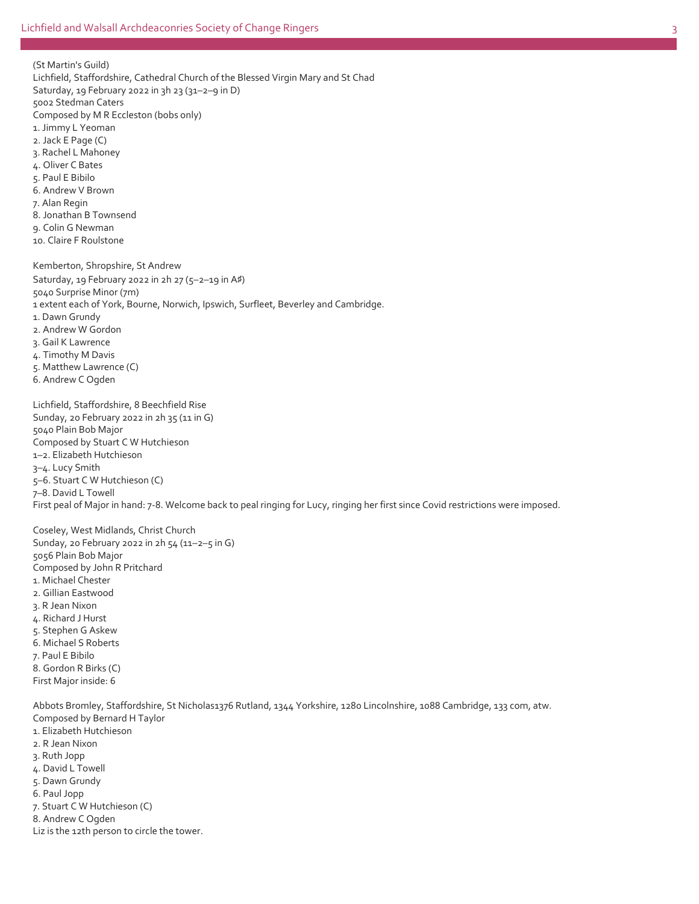(St Martin's Guild) Lichfield, Staffordshire, Cathedral Church of the Blessed Virgin Mary and St Chad Saturday, 19 February 2022 in 3h 23 (31–2–9 in D) 5002 Stedman Caters Composed by M R Eccleston (bobs only) 1. Jimmy L Yeoman 2. Jack E Page (C) 3. Rachel L Mahoney 4. Oliver C Bates 5. Paul E Bibilo 6. Andrew V Brown 7. Alan Regin 8. Jonathan B Townsend 9. Colin G Newman 10. Claire F Roulstone Kemberton, Shropshire, St Andrew

Saturday, 19 February 2022 in 2h 27 (5–2–19 in A♯) 5040 Surprise Minor (7m) 1 extent each of York, Bourne, Norwich, Ipswich, Surfleet, Beverley and Cambridge. 1. Dawn Grundy 2. Andrew W Gordon 3. Gail K Lawrence 4. Timothy M Davis 5. Matthew Lawrence (C) 6. Andrew C Ogden

Lichfield, Staffordshire, 8 Beechfield Rise Sunday, 20 February 2022 in 2h 35 (11 in G) 5040 Plain Bob Major Composed by Stuart C W Hutchieson 1–2. Elizabeth Hutchieson 3–4. Lucy Smith 5–6. Stuart C W Hutchieson (C) 7–8. David L Towell First peal of Major in hand: 7-8. Welcome back to peal ringing for Lucy, ringing her first since Covid restrictions were imposed.

Coseley, West Midlands, Christ Church Sunday, 20 February 2022 in 2h 54 (11–2–5 in G) 5056 Plain Bob Major Composed by John R Pritchard 1. Michael Chester 2. Gillian Eastwood 3. R Jean Nixon 4. Richard J Hurst 5. Stephen G Askew 6. Michael S Roberts 7. Paul E Bibilo 8. Gordon R Birks (C) First Major inside: 6

Abbots Bromley, Staffordshire, St Nicholas1376 Rutland, 1344 Yorkshire, 1280 Lincolnshire, 1088 Cambridge, 133 com, atw. Composed by Bernard H Taylor

- 1. Elizabeth Hutchieson
- 2. R Jean Nixon
- 3. Ruth Jopp
- 4. David L Towell
- 5. Dawn Grundy
- 6. Paul Jopp
- 7. Stuart C W Hutchieson (C)
- 8. Andrew C Ogden
- Liz is the 12th person to circle the tower.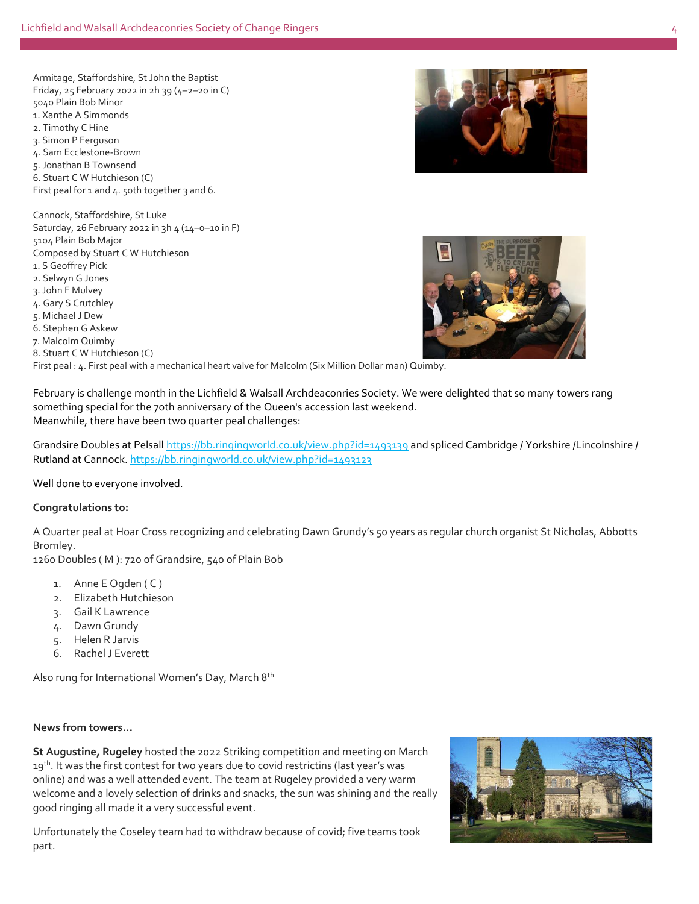Armitage, Staffordshire, St John the Baptist Friday,  $25$  February 2022 in  $2h$  39 (4-2-20 in C) 5040 Plain Bob Minor 1. Xanthe A Simmonds 2. Timothy C Hine 3. Simon P Ferguson 4. Sam Ecclestone-Brown 5. Jonathan B Townsend 6. Stuart C W Hutchieson (C) First peal for 1 and 4. 50th together 3 and 6.

Cannock, Staffordshire, St Luke Saturday, 26 February 2022 in 3h 4 (14–0–10 in F) 5104 Plain Bob Major Composed by Stuart C W Hutchieson 1. S Geoffrey Pick 2. Selwyn G Jones 3. John F Mulvey 4. Gary S Crutchley 5. Michael J Dew 6. Stephen G Askew 7. Malcolm Quimby 8. Stuart C W Hutchieson (C)

First peal : 4. First peal with a mechanical heart valve for Malcolm (Six Million Dollar man) Quimby.

February is challenge month in the Lichfield & Walsall Archdeaconries Society. We were delighted that so many towers rang something special for the 70th anniversary of the Queen's accession last weekend. Meanwhile, there have been two quarter peal challenges:

Grandsire Doubles at Pelsall [https://bb.ringingworld.co.uk/view.php?id=1493139](https://l.facebook.com/l.php?u=https%3A%2F%2Fbb.ringingworld.co.uk%2Fview.php%3Fid%3D1493139%26fbclid%3DIwAR3zo0fgoyrWQZisDnKFFXoNa9E4Z6AU7hF_2CYiMv5o8V5X6wfTGkl3rLM&h=AT0w3xUuYJVplvZ6_-g21Nxajtd4o0Vs77x1xLQ9ZVpnFI6w4FwlHg4X_7hE01mIEqZb560TRtdqVmudI1Kbo0AsXxBQO8LqWGal8fGbjNaf4e-9ttwLmKSX68lghzMUoKyKLs3W0YEjdu9G6w&__tn__=-UK-R&c%5b0%5d=AT1GU00K-HDcoRSKlggUe-cNBkJgCj_I_4SiHEx3ddU6JPncjUbAJ3CliKLxtpdHqNv04593JJol8HP-ewx_Wz-vJtAv-KGDvLWhypU7or9f3cK9CtMaSllc8B3EOA34INdYprlQLtZp3AzkBl7tKo4SkwJzDrsh2y3aF3mFDzbAZf8) and spliced Cambridge / Yorkshire /Lincolnshire / Rutland at Cannock. [https://bb.ringingworld.co.uk/view.php?id=1493123](https://bb.ringingworld.co.uk/view.php?id=1493123&fbclid=IwAR3litBtNdfILJqfWlvAxCudf9cOiT03JLY5tbVH5OkfdyojQ88YCfRuox0)

Well done to everyone involved.

### **Congratulations to:**

A Quarter peal at Hoar Cross recognizing and celebrating Dawn Grundy's 50 years as regular church organist St Nicholas, Abbotts Bromley.

1260 Doubles ( M ): 720 of Grandsire, 540 of Plain Bob

- 1. Anne E Ogden (C)
- 2. Elizabeth Hutchieson
- 3. Gail K Lawrence
- 4. Dawn Grundy
- 5. Helen R Jarvis
- 6. Rachel J Everett

Also rung for International Women's Day, March 8th

### **News from towers…**

**St Augustine, Rugeley** hosted the 2022 Striking competition and meeting on March 19<sup>th</sup>. It was the first contest for two years due to covid restrictins (last year's was online) and was a well attended event. The team at Rugeley provided a very warm welcome and a lovely selection of drinks and snacks, the sun was shining and the really good ringing all made it a very successful event.

Unfortunately the Coseley team had to withdraw because of covid; five teams took part.





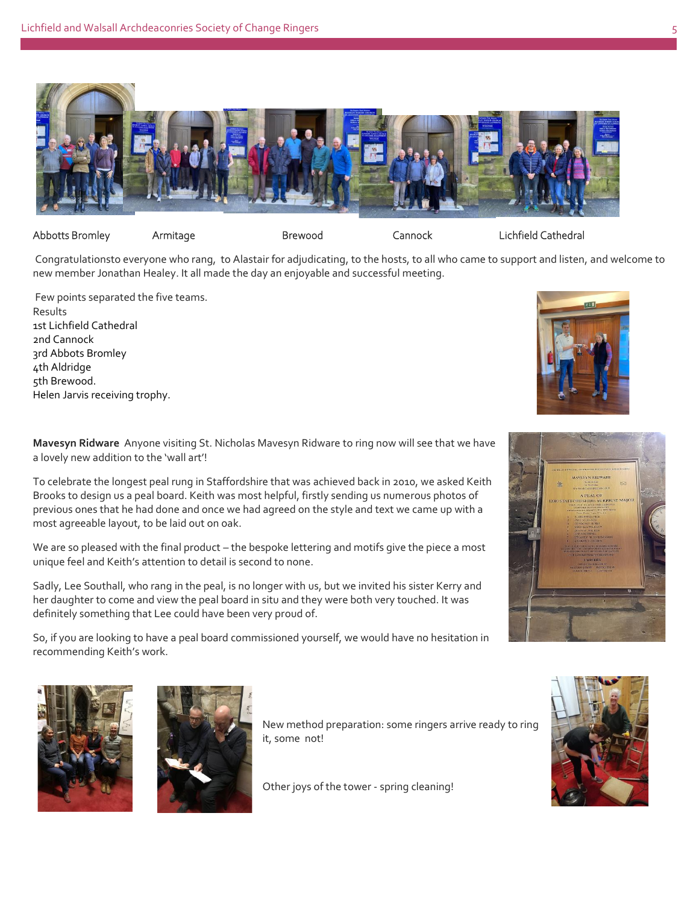

### Abbotts Bromley Armitage Brewood Cannock Lichfield Cathedral

Congratulationsto everyone who rang, to Alastair for adjudicating, to the hosts, to all who came to support and listen, and welcome to new member Jonathan Healey. It all made the day an enjoyable and successful meeting.

Few points separated the five teams. Results and the contract of the contract of the contract of the contract of the contract of the contract of the contract of the contract of the contract of the contract of the contract of the contract of the contract of th 1st Lichfield Cathedral 2nd Cannock 3rd Abbots Bromley 4th Aldridge **All and Struck and Struck and Struck and Struck and Struck and Struck and Struck and Struck and Struck and Struck and Struck and Struck and Struck and Struck and Struck and Struck and Struck and Struck and St** 5th Brewood. Helen Jarvis receiving trophy.



A PEAL OF<br>RDSHIRE SURPRISE

**Mavesyn Ridware** Anyone visiting St. Nicholas Mavesyn Ridware to ring now will see that we have a lovely new addition to the 'wall art'!

To celebrate the longest peal rung in Staffordshire that was achieved back in 2010, we asked Keith Brooks to design us a peal board. Keith was most helpful, firstly sending us numerous photos of previous ones that he had done and once we had agreed on the style and text we came up with a most agreeable layout, to be laid out on oak.

We are so pleased with the final product – the bespoke lettering and motifs give the piece a most unique feel and Keith's attention to detail is second to none.

Sadly, Lee Southall, who rang in the peal, is no longer with us, but we invited his sister Kerry and her daughter to come and view the peal board in situ and they were both very touched. It was definitely something that Lee could have been very proud of.

So, if you are looking to have a peal board commissioned yourself, we would have no hesitation in recommending Keith's work.





New method preparation: some ringers arrive ready to ring it, some not!

Other joys of the tower - spring cleaning!

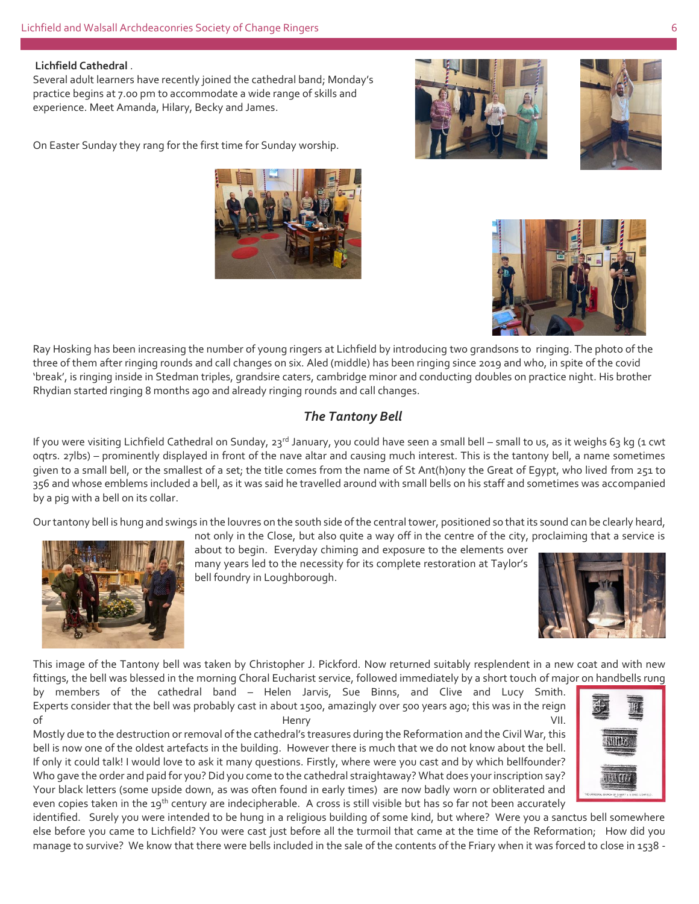### **Lichfield Cathedral** .

Several adult learners have recently joined the cathedral band; Monday's practice begins at 7.00 pm to accommodate a wide range of skills and experience. Meet Amanda, Hilary, Becky and James.

On Easter Sunday they rang for the first time for Sunday worship.









Ray Hosking has been increasing the number of young ringers at Lichfield by introducing two grandsons to ringing. The photo of the three of them after ringing rounds and call changes on six. Aled (middle) has been ringing since 2019 and who, in spite of the covid 'break', is ringing inside in Stedman triples, grandsire caters, cambridge minor and conducting doubles on practice night. His brother Rhydian started ringing 8 months ago and already ringing rounds and call changes.

### *The Tantony Bell*

If you were visiting Lichfield Cathedral on Sunday, 23<sup>rd</sup> January, you could have seen a small bell – small to us, as it weighs 63 kg (1 cwt oqtrs. 27lbs) – prominently displayed in front of the nave altar and causing much interest. This is the tantony bell, a name sometimes given to a small bell, or the smallest of a set; the title comes from the name of St Ant(h)ony the Great of Egypt, who lived from 251 to 356 and whose emblems included a bell, as it was said he travelled around with small bells on his staff and sometimes was accompanied by a pig with a bell on its collar.

Our tantony bell is hung and swings in the louvres on the south side of the central tower, positioned so that its sound can be clearly heard,



about to begin. Everyday chiming and exposure to the elements over many years led to the necessity for its complete restoration at Taylor's bell foundry in Loughborough.

not only in the Close, but also quite a way off in the centre of the city, proclaiming that a service is



This image of the Tantony bell was taken by Christopher J. Pickford. Now returned suitably resplendent in a new coat and with new fittings, the bell was blessed in the morning Choral Eucharist service, followed immediately by a short touch of major on handbells rung

by members of the cathedral band – Helen Jarvis, Sue Binns, and Clive and Lucy Smith. Experts consider that the bell was probably cast in about 1500, amazingly over 500 years ago; this was in the reign of the contract of the Henry the Henry the contract of the VII.

Mostly due to the destruction or removal of the cathedral's treasures during the Reformation and the Civil War, this bell is now one of the oldest artefacts in the building. However there is much that we do not know about the bell. If only it could talk! I would love to ask it many questions. Firstly, where were you cast and by which bellfounder? Who gave the order and paid for you? Did you come to the cathedral straightaway? What does your inscription say? Your black letters (some upside down, as was often found in early times) are now badly worn or obliterated and even copies taken in the 19<sup>th</sup> century are indecipherable. A cross is still visible but has so far not been accurately



identified. Surely you were intended to be hung in a religious building of some kind, but where? Were you a sanctus bell somewhere else before you came to Lichfield? You were cast just before all the turmoil that came at the time of the Reformation; How did you manage to survive? We know that there were bells included in the sale of the contents of the Friary when it was forced to close in 1538 -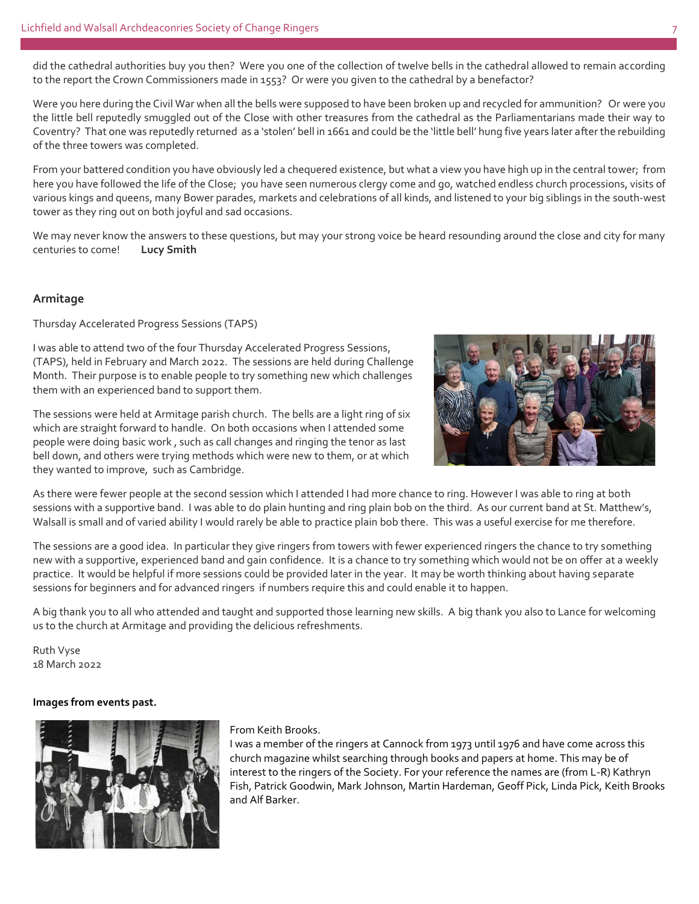did the cathedral authorities buy you then? Were you one of the collection of twelve bells in the cathedral allowed to remain according to the report the Crown Commissioners made in 1553? Or were you given to the cathedral by a benefactor?

Were you here during the Civil War when all the bells were supposed to have been broken up and recycled for ammunition? Or were you the little bell reputedly smuggled out of the Close with other treasures from the cathedral as the Parliamentarians made their way to Coventry? That one was reputedly returned as a 'stolen' bell in 1661 and could be the 'little bell' hung five years later after the rebuilding of the three towers was completed.

From your battered condition you have obviously led a chequered existence, but what a view you have high up in the central tower; from here you have followed the life of the Close; you have seen numerous clergy come and go, watched endless church processions, visits of various kings and queens, many Bower parades, markets and celebrations of all kinds, and listened to your big siblings in the south-west tower as they ring out on both joyful and sad occasions.

We may never know the answers to these questions, but may your strong voice be heard resounding around the close and city for many centuries to come! **Lucy Smith** 

### **Armitage**

Thursday Accelerated Progress Sessions (TAPS)

I was able to attend two of the four Thursday Accelerated Progress Sessions, (TAPS), held in February and March 2022. The sessions are held during Challenge Month. Their purpose is to enable people to try something new which challenges them with an experienced band to support them.

The sessions were held at Armitage parish church. The bells are a light ring of six which are straight forward to handle. On both occasions when I attended some people were doing basic work , such as call changes and ringing the tenor as last bell down, and others were trying methods which were new to them, or at which they wanted to improve, such as Cambridge.



As there were fewer people at the second session which I attended I had more chance to ring. However I was able to ring at both sessions with a supportive band. I was able to do plain hunting and ring plain bob on the third. As our current band at St. Matthew's, Walsall is small and of varied ability I would rarely be able to practice plain bob there. This was a useful exercise for me therefore.

The sessions are a good idea. In particular they give ringers from towers with fewer experienced ringers the chance to try something new with a supportive, experienced band and gain confidence. It is a chance to try something which would not be on offer at a weekly practice. It would be helpful if more sessions could be provided later in the year. It may be worth thinking about having separate sessions for beginners and for advanced ringers if numbers require this and could enable it to happen.

A big thank you to all who attended and taught and supported those learning new skills. A big thank you also to Lance for welcoming us to the church at Armitage and providing the delicious refreshments.

Ruth Vyse 18 March 2022

### **Images from events past.**



### From Keith Brooks.

I was a member of the ringers at Cannock from 1973 until 1976 and have come across this church magazine whilst searching through books and papers at home. This may be of interest to the ringers of the Society. For your reference the names are (from L-R) Kathryn Fish, Patrick Goodwin, Mark Johnson, Martin Hardeman, Geoff Pick, Linda Pick, Keith Brooks and Alf Barker.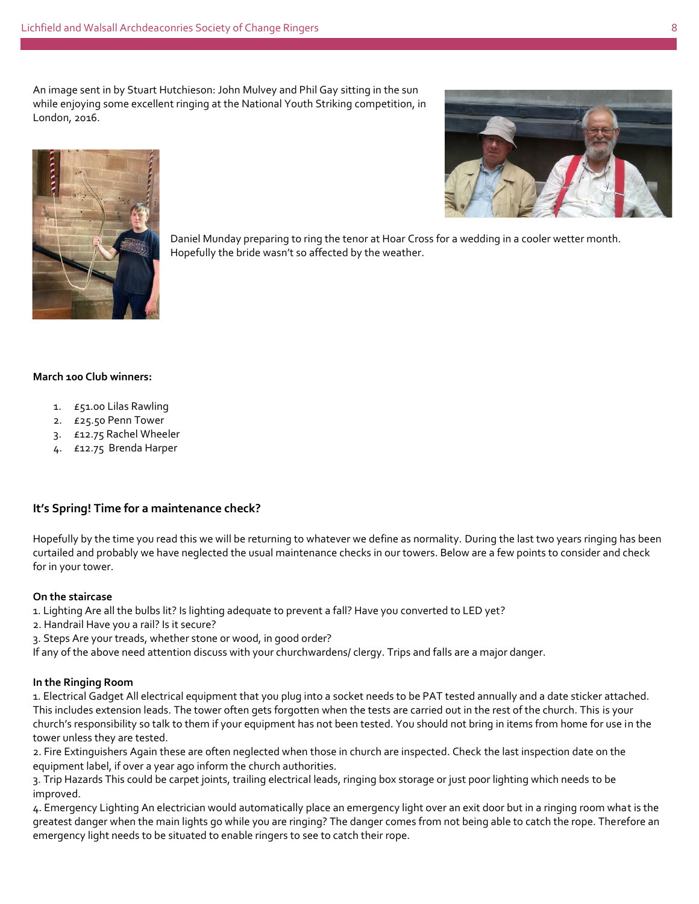An image sent in by Stuart Hutchieson: John Mulvey and Phil Gay sitting in the sun while enjoying some excellent ringing at the National Youth Striking competition, in London, 2016.





Daniel Munday preparing to ring the tenor at Hoar Cross for a wedding in a cooler wetter month. Hopefully the bride wasn't so affected by the weather.

### **March 100 Club winners:**

- 1. £51.00 Lilas Rawling
- 2. £25.50 Penn Tower
- 3. £12.75 Rachel Wheeler
- 4. £12.75 Brenda Harper

### **It's Spring! Time for a maintenance check?**

Hopefully by the time you read this we will be returning to whatever we define as normality. During the last two years ringing has been curtailed and probably we have neglected the usual maintenance checks in our towers. Below are a few points to consider and check for in your tower.

### **On the staircase**

1. Lighting Are all the bulbs lit? Is lighting adequate to prevent a fall? Have you converted to LED yet?

- 2. Handrail Have you a rail? Is it secure?
- 3. Steps Are your treads, whether stone or wood, in good order?

If any of the above need attention discuss with your churchwardens/ clergy. Trips and falls are a major danger.

### **In the Ringing Room**

1. Electrical Gadget All electrical equipment that you plug into a socket needs to be PAT tested annually and a date sticker attached. This includes extension leads. The tower often gets forgotten when the tests are carried out in the rest of the church. This is your church's responsibility so talk to them if your equipment has not been tested. You should not bring in items from home for use in the tower unless they are tested.

2. Fire Extinguishers Again these are often neglected when those in church are inspected. Check the last inspection date on the equipment label, if over a year ago inform the church authorities.

3. Trip Hazards This could be carpet joints, trailing electrical leads, ringing box storage or just poor lighting which needs to be improved.

4. Emergency Lighting An electrician would automatically place an emergency light over an exit door but in a ringing room what is the greatest danger when the main lights go while you are ringing? The danger comes from not being able to catch the rope. Therefore an emergency light needs to be situated to enable ringers to see to catch their rope.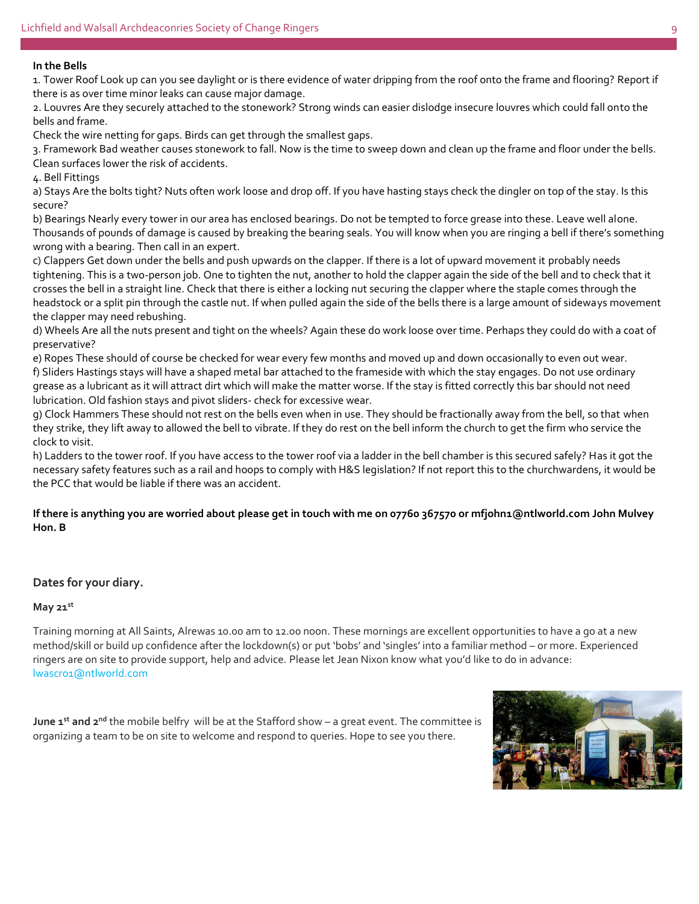### **In the Bells**

1. Tower Roof Look up can you see daylight or is there evidence of water dripping from the roof onto the frame and flooring? Report if there is as over time minor leaks can cause major damage.

2. Louvres Are they securely attached to the stonework? Strong winds can easier dislodge insecure louvres which could fall onto the bells and frame.

Check the wire netting for gaps. Birds can get through the smallest gaps.

3. Framework Bad weather causes stonework to fall. Now is the time to sweep down and clean up the frame and floor under the bells. Clean surfaces lower the risk of accidents.

4. Bell Fittings

a) Stays Are the bolts tight? Nuts often work loose and drop off. If you have hasting stays check the dingler on top of the stay. Is this secure?

b) Bearings Nearly every tower in our area has enclosed bearings. Do not be tempted to force grease into these. Leave well alone. Thousands of pounds of damage is caused by breaking the bearing seals. You will know when you are ringing a bell if there's something wrong with a bearing. Then call in an expert.

c) Clappers Get down under the bells and push upwards on the clapper. If there is a lot of upward movement it probably needs tightening. This is a two-person job. One to tighten the nut, another to hold the clapper again the side of the bell and to check that it crosses the bell in a straight line. Check that there is either a locking nut securing the clapper where the staple comes through the headstock or a split pin through the castle nut. If when pulled again the side of the bells there is a large amount of sideways movement the clapper may need rebushing.

d) Wheels Are all the nuts present and tight on the wheels? Again these do work loose over time. Perhaps they could do with a coat of preservative?

e) Ropes These should of course be checked for wear every few months and moved up and down occasionally to even out wear. f) Sliders Hastings stays will have a shaped metal bar attached to the frameside with which the stay engages. Do not use ordinary grease as a lubricant as it will attract dirt which will make the matter worse. If the stay is fitted correctly this bar should not need lubrication. Old fashion stays and pivot sliders- check for excessive wear.

g) Clock Hammers These should not rest on the bells even when in use. They should be fractionally away from the bell, so that when they strike, they lift away to allowed the bell to vibrate. If they do rest on the bell inform the church to get the firm who service the clock to visit.

h) Ladders to the tower roof. If you have access to the tower roof via a ladder in the bell chamber is this secured safely? Has it got the necessary safety features such as a rail and hoops to comply with H&S legislation? If not report this to the churchwardens, it would be the PCC that would be liable if there was an accident.

### **If there is anything you are worried about please get in touch with me on 07760 367570 or mfjohn1@ntlworld.com John Mulvey Hon. B**

### **Dates for your diary.**

### **May 21st**

Training morning at All Saints, Alrewas 10.00 am to 12.00 noon. These mornings are excellent opportunities to have a go at a new method/skill or build up confidence after the lockdown(s) or put 'bobs' and 'singles' into a familiar method – or more. Experienced ringers are on site to provide support, help and advice. Please let Jean Nixon know what you'd like to do in advance: lwascr01@ntlworld.com

**June 1st and 2nd** the mobile belfry will be at the Stafford show – a great event. The committee is organizing a team to be on site to welcome and respond to queries. Hope to see you there.